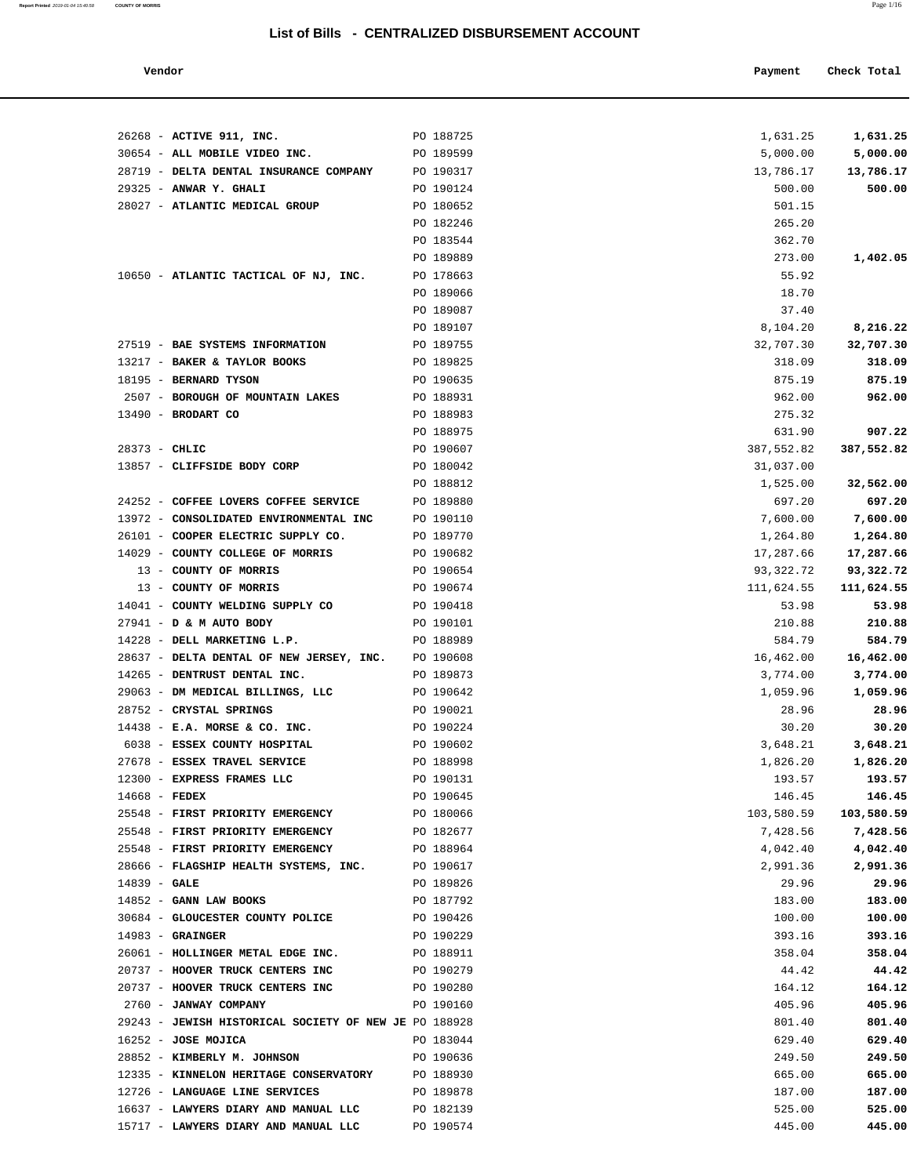## **List of Bills - CENTRALIZED DISBURSEMENT ACCOUNT**

| Vendor | Payment | Check Total |
|--------|---------|-------------|
|        |         |             |

| 26268 - ACTIVE 911, INC.                                     | PO 188725              | 1,631.25           | 1,631.25         |
|--------------------------------------------------------------|------------------------|--------------------|------------------|
| 30654 - ALL MOBILE VIDEO INC.                                | PO 189599              | 5,000.00           | 5,000.00         |
| 28719 - DELTA DENTAL INSURANCE COMPANY                       | PO 190317              | 13,786.17          | 13,786.17        |
| 29325 - ANWAR Y. GHALI                                       | PO 190124              | 500.00             | 500.00           |
| 28027 - ATLANTIC MEDICAL GROUP                               | PO 180652              | 501.15             |                  |
|                                                              | PO 182246              | 265.20             |                  |
|                                                              | PO 183544              | 362.70             |                  |
| 10650 - ATLANTIC TACTICAL OF NJ, INC.                        | PO 189889<br>PO 178663 | 273.00<br>55.92    | 1,402.05         |
|                                                              | PO 189066              | 18.70              |                  |
|                                                              | PO 189087              | 37.40              |                  |
|                                                              | PO 189107              | 8,104.20           | 8,216.22         |
| 27519 - BAE SYSTEMS INFORMATION                              | PO 189755              | 32,707.30          | 32,707.30        |
| 13217 - BAKER & TAYLOR BOOKS                                 | PO 189825              | 318.09             | 318.09           |
| 18195 - BERNARD TYSON                                        | PO 190635              | 875.19             | 875.19           |
| 2507 - BOROUGH OF MOUNTAIN LAKES PO 188931                   |                        | 962.00             | 962.00           |
| $13490$ - BRODART CO                                         | PO 188983              | 275.32             |                  |
|                                                              | PO 188975              | 631.90             | 907.22           |
| $28373 - CHLIC$                                              | PO 190607              | 387,552.82         | 387,552.82       |
| 13857 - CLIFFSIDE BODY CORP                                  | PO 180042              | 31,037.00          |                  |
|                                                              | PO 188812              | 1,525.00           | 32,562.00        |
| 24252 - COFFEE LOVERS COFFEE SERVICE                         | PO 189880              | 697.20             | 697.20           |
| 13972 - CONSOLIDATED ENVIRONMENTAL INC                       | PO 190110              | 7,600.00           | 7,600.00         |
| 26101 - COOPER ELECTRIC SUPPLY CO.                           | PO 189770              | 1,264.80           | 1,264.80         |
| 14029 - COUNTY COLLEGE OF MORRIS                             | PO 190682              | 17,287.66          | 17,287.66        |
| 13 - COUNTY OF MORRIS                                        | PO 190654              | 93,322.72          | 93,322.72        |
| 13 - COUNTY OF MORRIS                                        | PO 190674              | 111,624.55         | 111,624.55       |
| 14041 - COUNTY WELDING SUPPLY CO                             | PO 190418              | 53.98              | 53.98            |
| 27941 - D & M AUTO BODY                                      | PO 190101              | 210.88             | 210.88           |
| 14228 - DELL MARKETING L.P.                                  | PO 188989              | 584.79             | 584.79           |
| 28637 - DELTA DENTAL OF NEW JERSEY, INC. PO 190608           |                        | 16,462.00          | 16,462.00        |
| 14265 - DENTRUST DENTAL INC.                                 | PO 189873              | 3,774.00           | 3,774.00         |
| 29063 - DM MEDICAL BILLINGS, LLC                             | PO 190642              | 1,059.96           | 1,059.96         |
| 28752 - CRYSTAL SPRINGS                                      | PO 190021              | 28.96              | 28.96            |
| $14438$ - E.A. MORSE & CO. INC.                              | PO 190224              | 30.20              | 30.20            |
| 6038 - ESSEX COUNTY HOSPITAL<br>27678 - ESSEX TRAVEL SERVICE | PO 190602              | 3,648.21           | 3,648.21         |
|                                                              | PO 188998<br>PO 190131 | 1,826.20<br>193.57 | 1,826.20         |
| 12300 - EXPRESS FRAMES LLC<br>$14668$ - FEDEX                | PO 190645              | 146.45             | 193.57<br>146.45 |
| 25548 - FIRST PRIORITY EMERGENCY                             | PO 180066              | 103,580.59         | 103,580.59       |
| 25548 - FIRST PRIORITY EMERGENCY                             | PO 182677              | 7,428.56           | 7,428.56         |
| 25548 - FIRST PRIORITY EMERGENCY                             | PO 188964              | 4,042.40           | 4,042.40         |
| 28666 - FLAGSHIP HEALTH SYSTEMS, INC.                        | PO 190617              | 2,991.36           | 2,991.36         |
| $14839 - GALE$                                               | PO 189826              | 29.96              | 29.96            |
| $14852$ - GANN LAW BOOKS                                     | PO 187792              | 183.00             | 183.00           |
| 30684 - GLOUCESTER COUNTY POLICE                             | PO 190426              | 100.00             | 100.00           |
| $14983 -$ GRAINGER                                           | PO 190229              | 393.16             | 393.16           |
| 26061 - HOLLINGER METAL EDGE INC.                            | PO 188911              | 358.04             | 358.04           |
| 20737 - HOOVER TRUCK CENTERS INC                             | PO 190279              | 44.42              | 44.42            |
| 20737 - HOOVER TRUCK CENTERS INC                             | PO 190280              | 164.12             | 164.12           |
| 2760 - JANWAY COMPANY                                        | PO 190160              | 405.96             | 405.96           |
| 29243 - JEWISH HISTORICAL SOCIETY OF NEW JE PO 188928        |                        | 801.40             | 801.40           |
| $16252 - JOSE MOJICA$                                        | PO 183044              | 629.40             | 629.40           |
| 28852 - KIMBERLY M. JOHNSON                                  | PO 190636              | 249.50             | 249.50           |
| 12335 - KINNELON HERITAGE CONSERVATORY                       | PO 188930              | 665.00             | 665.00           |
| 12726 - LANGUAGE LINE SERVICES                               | PO 189878              | 187.00             | 187.00           |
| 16637 - LAWYERS DIARY AND MANUAL LLC                         | PO 182139              | 525.00             | 525.00           |
| 15717 - LAWYERS DIARY AND MANUAL LLC                         | PO 190574              | 445.00             | 445.00           |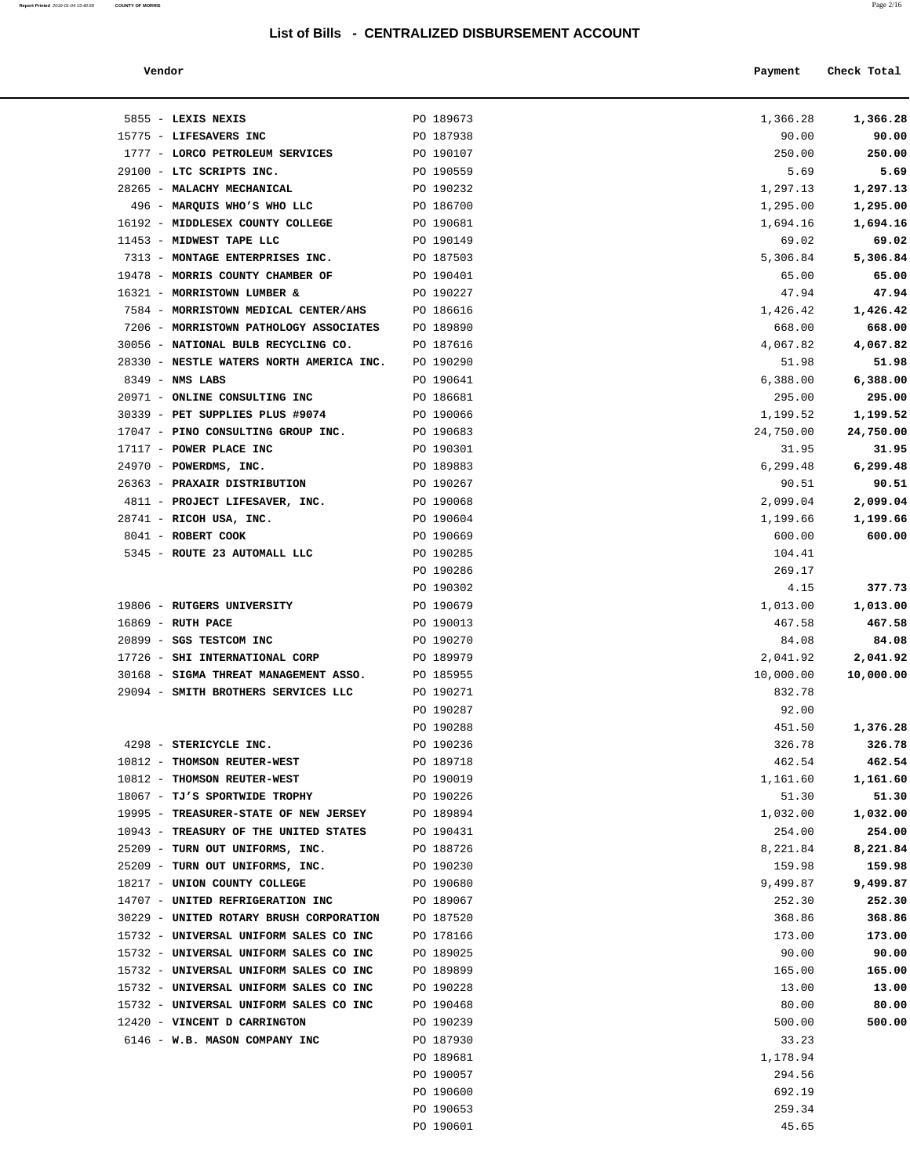### **List of Bills - CENTRALIZED DISBURSEMENT ACCOUNT**

**Report Printed** 2019-01-04 15:40:58 **COUNTY OF MORRIS** Page 2/16

| Vendor                                                    |                        | Payment             | Check Total |
|-----------------------------------------------------------|------------------------|---------------------|-------------|
|                                                           |                        |                     |             |
| 5855 - LEXIS NEXIS                                        | PO 189673              | 1,366.28            | 1,366.28    |
| 15775 - LIFESAVERS INC                                    | PO 187938              | 90.00               | 90.00       |
| 1777 - LORCO PETROLEUM SERVICES                           | PO 190107              | 250.00              | 250.00      |
| 29100 - LTC SCRIPTS INC.                                  | PO 190559              | 5.69                | 5.69        |
| 28265 - MALACHY MECHANICAL                                | PO 190232              | 1,297.13            | 1,297.13    |
| 496 - MARQUIS WHO'S WHO LLC                               | PO 186700              | 1,295.00            | 1,295.00    |
| 16192 - MIDDLESEX COUNTY COLLEGE                          | PO 190681              | 1,694.16            | 1,694.16    |
| 11453 - MIDWEST TAPE LLC                                  | PO 190149              | 69.02               | 69.02       |
| 7313 - MONTAGE ENTERPRISES INC.                           | PO 187503              | 5,306.84            | 5,306.84    |
| 19478 - MORRIS COUNTY CHAMBER OF                          | PO 190401              | 65.00               | 65.00       |
| 16321 - MORRISTOWN LUMBER &                               | PO 190227              | 47.94               | 47.94       |
| 7584 - MORRISTOWN MEDICAL CENTER/AHS                      | PO 186616              | 1,426.42            | 1,426.42    |
| 7206 - MORRISTOWN PATHOLOGY ASSOCIATES                    | PO 189890              | 668.00              | 668.00      |
| 30056 - NATIONAL BULB RECYCLING CO.                       | PO 187616              | 4,067.82            | 4,067.82    |
| 28330 - NESTLE WATERS NORTH AMERICA INC.                  | PO 190290              | 51.98               | 51.98       |
| $8349$ - NMS LABS                                         | PO 190641              | 6,388.00            | 6,388.00    |
| 20971 - ONLINE CONSULTING INC                             | PO 186681              | 295.00              | 295.00      |
| 30339 - PET SUPPLIES PLUS #9074                           | PO 190066              | 1,199.52            | 1,199.52    |
| 17047 - PINO CONSULTING GROUP INC.                        | PO 190683              | 24,750.00           | 24,750.00   |
| 17117 - POWER PLACE INC                                   | PO 190301              | 31.95               | 31.95       |
| 24970 - POWERDMS, INC.                                    | PO 189883              | 6,299.48            | 6,299.48    |
| 26363 - PRAXAIR DISTRIBUTION                              | PO 190267              | 90.51               | 90.51       |
| 4811 - PROJECT LIFESAVER, INC.                            | PO 190068              | 2,099.04            | 2,099.04    |
| 28741 - RICOH USA, INC.                                   | PO 190604              | 1,199.66            | 1,199.66    |
| 8041 - ROBERT COOK                                        | PO 190669              | 600.00              | 600.00      |
| 5345 - ROUTE 23 AUTOMALL LLC                              | PO 190285              | 104.41              |             |
|                                                           | PO 190286              | 269.17              |             |
|                                                           | PO 190302              | 4.15                | 377.73      |
| 19806 - RUTGERS UNIVERSITY                                | PO 190679              | 1,013.00            | 1,013.00    |
| 16869 - RUTH PACE                                         | PO 190013              | 467.58              | 467.58      |
| 20899 - SGS TESTCOM INC<br>17726 - SHI INTERNATIONAL CORP | PO 190270              | 84.08               | 84.08       |
| 30168 - SIGMA THREAT MANAGEMENT ASSO.                     | PO 189979              | 2,041.92            | 2,041.92    |
| 29094 - SMITH BROTHERS SERVICES LLC                       | PO 185955<br>PO 190271 | 10,000.00<br>832.78 | 10,000.00   |
|                                                           | PO 190287              | 92.00               |             |
|                                                           | PO 190288              | 451.50              | 1,376.28    |
| 4298 - STERICYCLE INC.                                    | PO 190236              | 326.78              | 326.78      |
| 10812 - THOMSON REUTER-WEST                               | PO 189718              | 462.54              | 462.54      |
| 10812 - THOMSON REUTER-WEST                               | PO 190019              | 1,161.60            | 1,161.60    |
| 18067 - TJ'S SPORTWIDE TROPHY                             | PO 190226              | 51.30               | 51.30       |
| 19995 - TREASURER-STATE OF NEW JERSEY PO 189894           |                        | 1,032.00            | 1,032.00    |
| 10943 - TREASURY OF THE UNITED STATES                     | PO 190431              | 254.00              | 254.00      |
| 25209 - TURN OUT UNIFORMS, INC.                           | PO 188726              | 8,221.84            | 8,221.84    |
| 25209 - TURN OUT UNIFORMS, INC.                           | PO 190230              | 159.98              | 159.98      |
| 18217 - UNION COUNTY COLLEGE                              | PO 190680              | 9,499.87            | 9,499.87    |
| 14707 - UNITED REFRIGERATION INC                          | PO 189067              | 252.30              | 252.30      |
| 30229 - UNITED ROTARY BRUSH CORPORATION                   | PO 187520              | 368.86              | 368.86      |
| 15732 - UNIVERSAL UNIFORM SALES CO INC                    | PO 178166              | 173.00              | 173.00      |
| 15732 - UNIVERSAL UNIFORM SALES CO INC                    | PO 189025              | 90.00               | 90.00       |
| 15732 - UNIVERSAL UNIFORM SALES CO INC                    | PO 189899              | 165.00              | 165.00      |
| 15732 - UNIVERSAL UNIFORM SALES CO INC                    | PO 190228              | 13.00               | 13.00       |
| 15732 - UNIVERSAL UNIFORM SALES CO INC                    | PO 190468              | 80.00               | 80.00       |
| 12420 - VINCENT D CARRINGTON                              | PO 190239              | 500.00              | 500.00      |
| 6146 - W.B. MASON COMPANY INC                             | PO 187930              | 33.23               |             |
|                                                           | PO 189681              | 1,178.94            |             |
|                                                           | PO 190057              | 294.56              |             |
|                                                           | PO 190600              | 692.19              |             |
|                                                           | PO 190653              | 259.34              |             |

PO 190601 45.65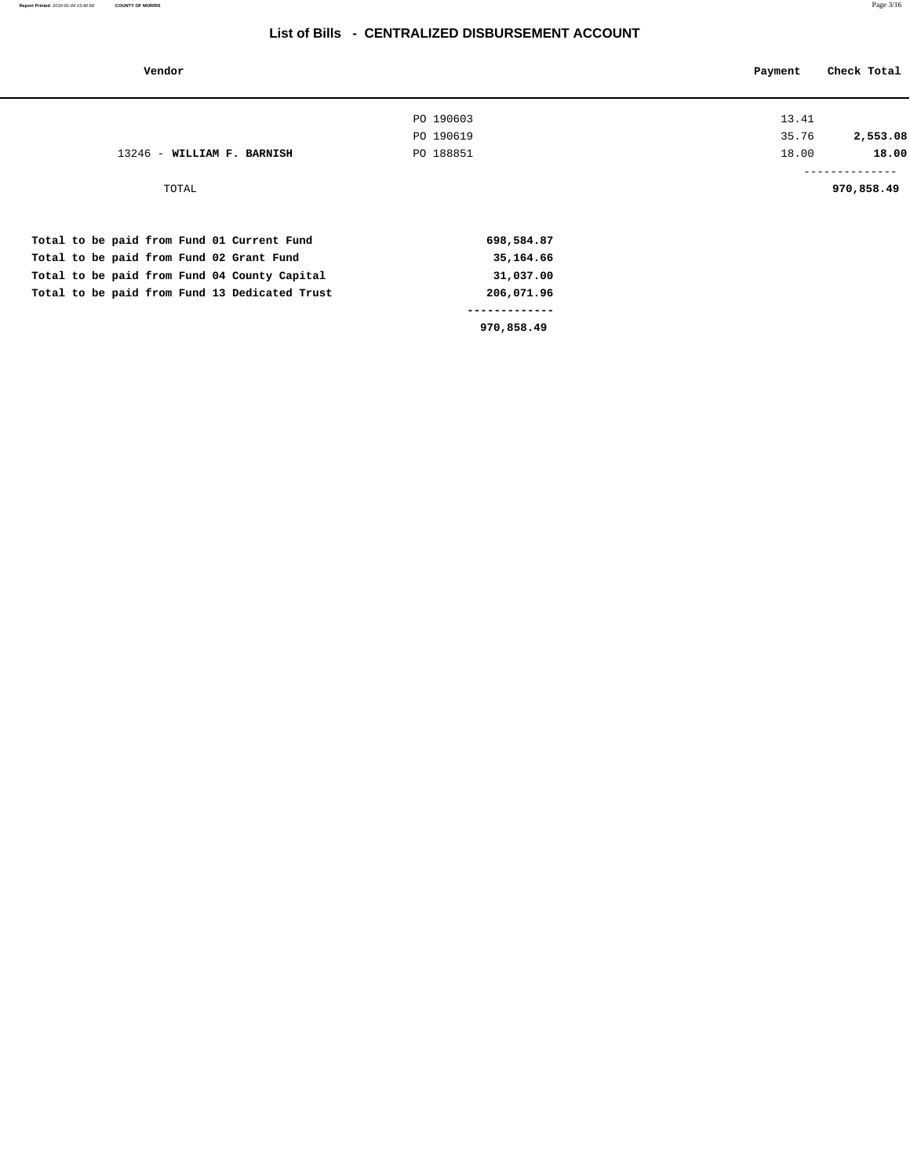#### **List of Bills - CENTRALIZED DISBURSEMENT ACCOUNT**

| Vendor                                        |            | Payment | Check Total              |
|-----------------------------------------------|------------|---------|--------------------------|
|                                               | PO 190603  | 13.41   |                          |
|                                               | PO 190619  | 35.76   | 2,553.08                 |
| 13246 - WILLIAM F. BARNISH                    | PO 188851  | 18.00   | 18.00                    |
| TOTAL                                         |            |         | ----------<br>970,858.49 |
| Total to be paid from Fund 01 Current Fund    | 698,584.87 |         |                          |
| Total to be paid from Fund 02 Grant Fund      | 35,164.66  |         |                          |
| Total to be paid from Fund 04 County Capital  | 31,037.00  |         |                          |
| Total to be paid from Fund 13 Dedicated Trust | 206,071.96 |         |                          |
|                                               |            |         |                          |
|                                               | 970,858.49 |         |                          |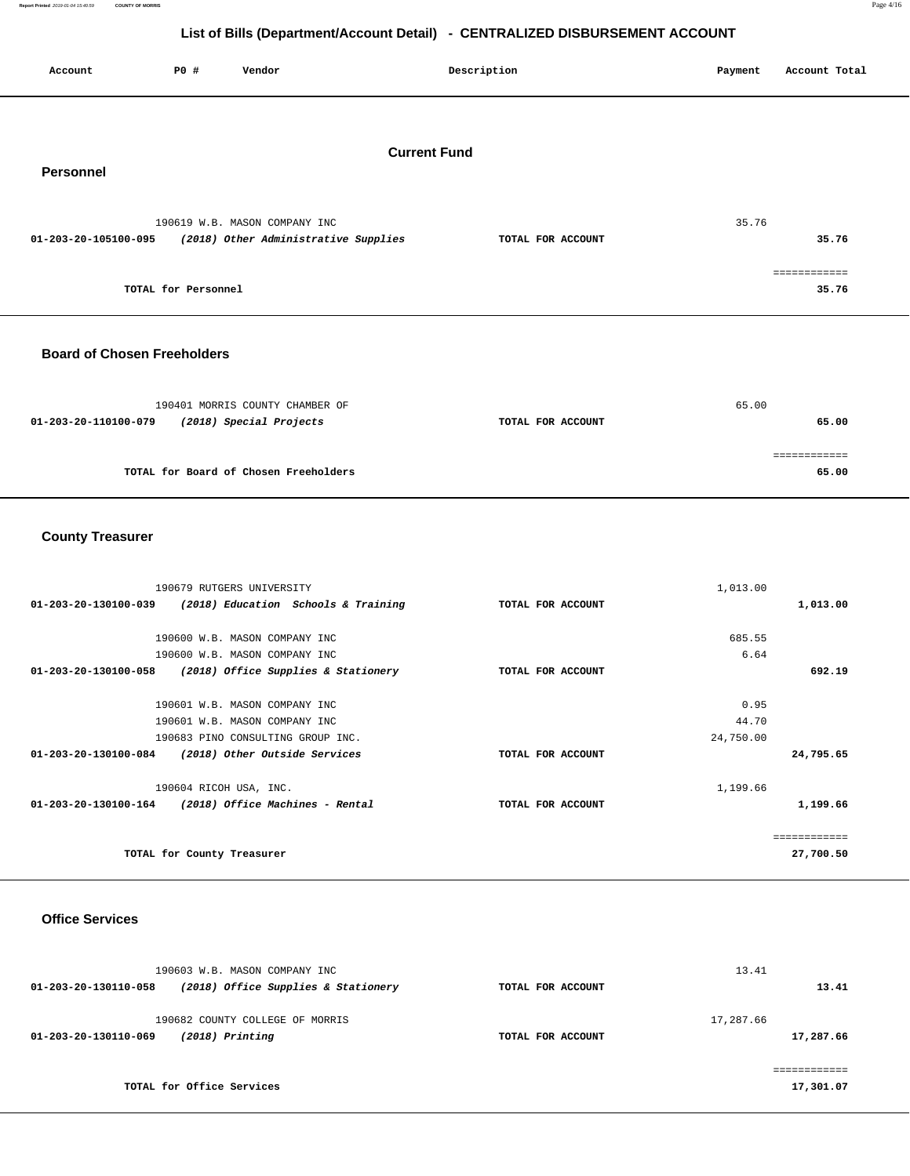**List of Bills (Department/Account Detail) - CENTRALIZED DISBURSEMENT ACCOUNT Account P0 # Vendor Description Payment Account Total** 

## **Current Fund**

**Personnel** 

|                      | 190619 W.B. MASON COMPANY INC        |                   | 35.76 |
|----------------------|--------------------------------------|-------------------|-------|
| 01-203-20-105100-095 | (2018) Other Administrative Supplies | TOTAL FOR ACCOUNT | 35.76 |
|                      |                                      |                   |       |
|                      |                                      |                   |       |
|                      | TOTAL for Personnel                  |                   | 35.76 |

#### **Board of Chosen Freeholders**

| 190401 MORRIS COUNTY CHAMBER OF                 |                   | 65.00 |
|-------------------------------------------------|-------------------|-------|
| (2018) Special Projects<br>01-203-20-110100-079 | TOTAL FOR ACCOUNT | 65.00 |
|                                                 |                   |       |
|                                                 |                   |       |
| TOTAL for Board of Chosen Freeholders           |                   | 65.00 |

### **County Treasurer**

| 190679 RUTGERS UNIVERSITY                                   |                   | 1,013.00  |              |
|-------------------------------------------------------------|-------------------|-----------|--------------|
| (2018) Education Schools & Training<br>01-203-20-130100-039 | TOTAL FOR ACCOUNT |           | 1,013.00     |
|                                                             |                   |           |              |
| 190600 W.B. MASON COMPANY INC                               |                   | 685.55    |              |
| 190600 W.B. MASON COMPANY INC                               |                   | 6.64      |              |
| 01-203-20-130100-058<br>(2018) Office Supplies & Stationery | TOTAL FOR ACCOUNT |           | 692.19       |
|                                                             |                   |           |              |
| 190601 W.B. MASON COMPANY INC                               |                   | 0.95      |              |
| 190601 W.B. MASON COMPANY INC                               |                   | 44.70     |              |
| 190683 PINO CONSULTING GROUP INC.                           |                   | 24,750.00 |              |
| 01-203-20-130100-084<br>(2018) Other Outside Services       | TOTAL FOR ACCOUNT |           | 24,795.65    |
|                                                             |                   |           |              |
| 190604 RICOH USA, INC.                                      |                   | 1,199.66  |              |
| (2018) Office Machines - Rental<br>01-203-20-130100-164     | TOTAL FOR ACCOUNT |           | 1,199.66     |
|                                                             |                   |           |              |
|                                                             |                   |           | ============ |
| TOTAL for County Treasurer                                  |                   |           | 27,700.50    |

#### **Office Services**

| 190603 W.B. MASON COMPANY INC<br>(2018) Office Supplies & Stationery<br>01-203-20-130110-058 | TOTAL FOR ACCOUNT | 13.41<br>13.41 |
|----------------------------------------------------------------------------------------------|-------------------|----------------|
| 190682 COUNTY COLLEGE OF MORRIS                                                              |                   | 17,287.66      |
| $(2018)$ Printing<br>01-203-20-130110-069                                                    | TOTAL FOR ACCOUNT | 17,287.66      |
| TOTAL for Office Services                                                                    |                   | 17,301.07      |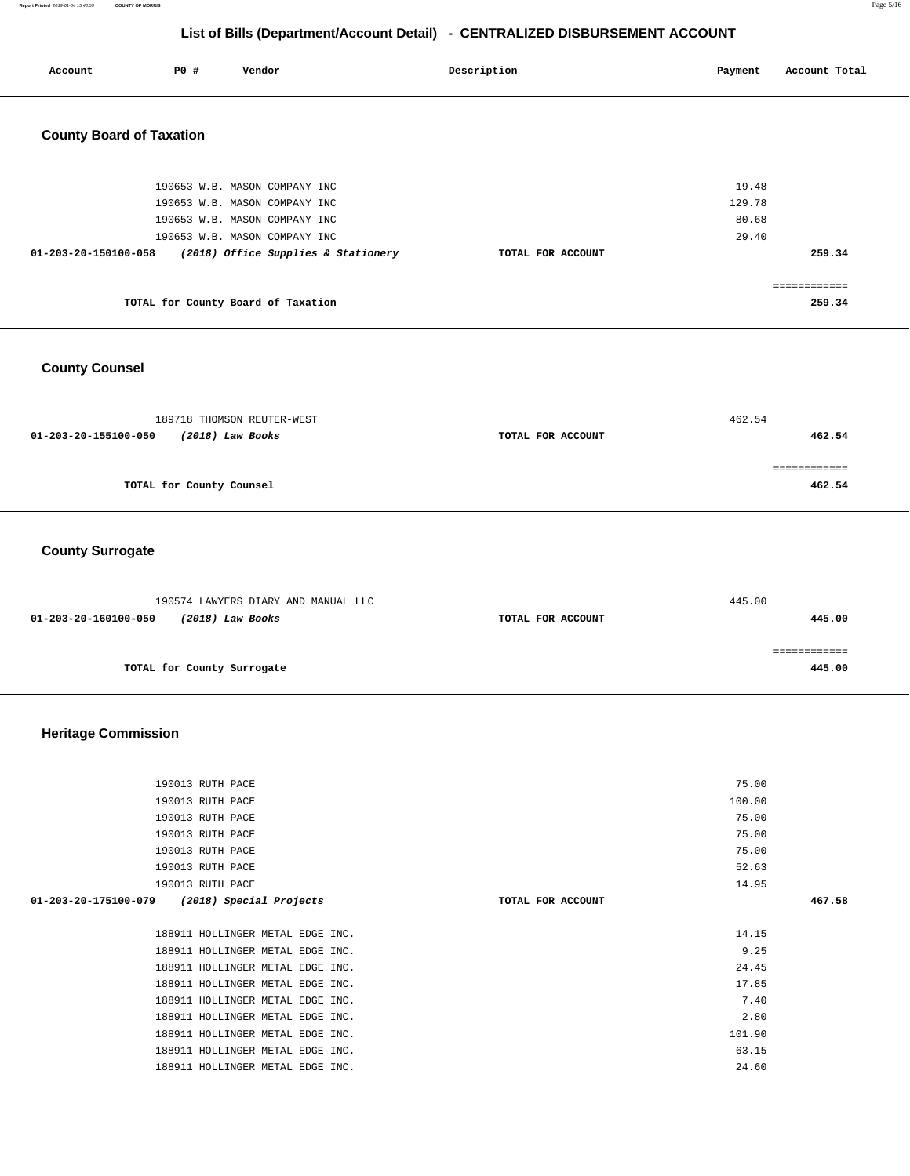**Report Printed** 2019-01-04 15:40:59 **COUNTY OF MORRIS** Page 5/16

# **List of Bills (Department/Account Detail) - CENTRALIZED DISBURSEMENT ACCOUNT**

| Account                         | P0 # | Vendor | Description | Payment | Account Total |
|---------------------------------|------|--------|-------------|---------|---------------|
| <b>County Board of Taxation</b> |      |        |             |         |               |

| 190653 W.B. MASON COMPANY INC<br>190653 W.B. MASON COMPANY INC |                   | 19.48<br>129.78 |
|----------------------------------------------------------------|-------------------|-----------------|
| 190653 W.B. MASON COMPANY INC<br>190653 W.B. MASON COMPANY INC |                   | 80.68<br>29.40  |
| (2018) Office Supplies & Stationery<br>01-203-20-150100-058    | TOTAL FOR ACCOUNT | 259.34          |
| TOTAL for County Board of Taxation                             |                   | 259.34          |

## **County Counsel**

|                   | 462.54 |
|-------------------|--------|
| TOTAL FOR ACCOUNT | 462.54 |
|                   |        |
|                   | 462.54 |
|                   |        |

### **County Surrogate**

| 190574 LAWYERS DIARY AND MANUAL LLC      |                   | 445.00 |
|------------------------------------------|-------------------|--------|
| (2018) Law Books<br>01-203-20-160100-050 | TOTAL FOR ACCOUNT | 445.00 |
|                                          |                   |        |
|                                          |                   |        |
| TOTAL for County Surrogate               |                   | 445.00 |

# **Heritage Commission**

| 190013 RUTH PACE                 |                                  |                   | 75.00  |        |
|----------------------------------|----------------------------------|-------------------|--------|--------|
| 190013 RUTH PACE                 |                                  |                   | 100.00 |        |
| 190013 RUTH PACE                 |                                  |                   | 75.00  |        |
| 190013 RUTH PACE                 |                                  |                   | 75.00  |        |
| 190013 RUTH PACE                 |                                  |                   | 75.00  |        |
| 190013 RUTH PACE                 |                                  |                   | 52.63  |        |
| 190013 RUTH PACE                 |                                  |                   | 14.95  |        |
| 01-203-20-175100-079             | (2018) Special Projects          | TOTAL FOR ACCOUNT |        | 467.58 |
|                                  |                                  |                   |        |        |
|                                  | 188911 HOLLINGER METAL EDGE INC. |                   | 14.15  |        |
|                                  | 188911 HOLLINGER METAL EDGE INC. |                   | 9.25   |        |
| 188911 HOLLINGER METAL EDGE INC. |                                  |                   |        |        |
|                                  |                                  |                   | 24.45  |        |
|                                  | 188911 HOLLINGER METAL EDGE INC. |                   | 17.85  |        |
|                                  | 188911 HOLLINGER METAL EDGE INC. |                   | 7.40   |        |
|                                  | 188911 HOLLINGER METAL EDGE INC. |                   | 2.80   |        |
|                                  | 188911 HOLLINGER METAL EDGE INC. |                   | 101.90 |        |
|                                  | 188911 HOLLINGER METAL EDGE INC. |                   | 63.15  |        |
|                                  | 188911 HOLLINGER METAL EDGE INC. |                   | 24.60  |        |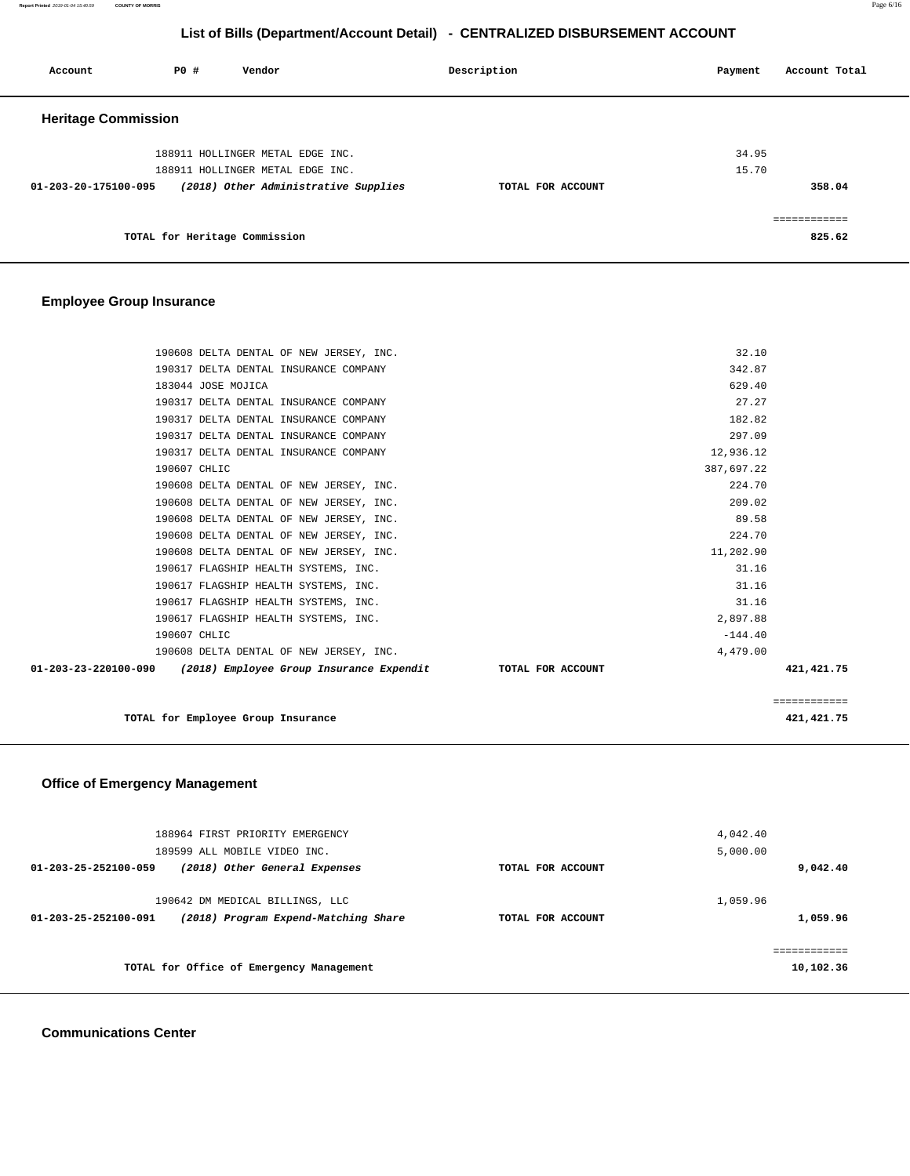**Report Printed** 2019-01-04 15:40:59 **COUNTY OF MORRIS** Page 6/16

## **List of Bills (Department/Account Detail) - CENTRALIZED DISBURSEMENT ACCOUNT**

| Account                    | <b>PO #</b>                   | Vendor                                                                   | Description       | Payment      | Account Total |
|----------------------------|-------------------------------|--------------------------------------------------------------------------|-------------------|--------------|---------------|
| <b>Heritage Commission</b> |                               |                                                                          |                   |              |               |
|                            |                               | 188911 HOLLINGER METAL EDGE INC.                                         |                   | 34.95        |               |
| 01-203-20-175100-095       |                               | 188911 HOLLINGER METAL EDGE INC.<br>(2018) Other Administrative Supplies | TOTAL FOR ACCOUNT | 15.70        | 358.04        |
|                            | TOTAL for Heritage Commission |                                                                          |                   | ============ | 825.62        |

### **Employee Group Insurance**

| 190608 DELTA DENTAL OF NEW JERSEY, INC.                                              | 32.10        |  |
|--------------------------------------------------------------------------------------|--------------|--|
| 190317 DELTA DENTAL INSURANCE COMPANY                                                | 342.87       |  |
| 183044 JOSE MOJICA                                                                   | 629.40       |  |
| 190317 DELTA DENTAL INSURANCE COMPANY                                                | 27.27        |  |
| 190317 DELTA DENTAL INSURANCE COMPANY                                                | 182.82       |  |
| 190317 DELTA DENTAL INSURANCE COMPANY                                                | 297.09       |  |
| 190317 DELTA DENTAL INSURANCE COMPANY                                                | 12,936.12    |  |
| 190607 CHLIC                                                                         | 387,697.22   |  |
| 190608 DELTA DENTAL OF NEW JERSEY, INC.                                              | 224.70       |  |
| 190608 DELTA DENTAL OF NEW JERSEY, INC.                                              | 209.02       |  |
| 190608 DELTA DENTAL OF NEW JERSEY, INC.                                              | 89.58        |  |
| 190608 DELTA DENTAL OF NEW JERSEY, INC.                                              | 224.70       |  |
| 190608 DELTA DENTAL OF NEW JERSEY, INC.                                              | 11,202.90    |  |
| 190617 FLAGSHIP HEALTH SYSTEMS, INC.                                                 | 31.16        |  |
| 190617 FLAGSHIP HEALTH SYSTEMS, INC.                                                 | 31.16        |  |
| 190617 FLAGSHIP HEALTH SYSTEMS, INC.                                                 | 31.16        |  |
| 190617 FLAGSHIP HEALTH SYSTEMS, INC.                                                 | 2,897.88     |  |
| 190607 CHLIC                                                                         | $-144.40$    |  |
| 190608 DELTA DENTAL OF NEW JERSEY, INC.                                              | 4,479.00     |  |
| $01-203-23-220100-090$ (2018) Employee Group Insurance Expendit<br>TOTAL FOR ACCOUNT | 421, 421.75  |  |
|                                                                                      | ============ |  |
| TOTAL for Employee Group Insurance                                                   | 421,421.75   |  |

## **Office of Emergency Management**

| 188964 FIRST PRIORITY EMERGENCY<br>189599 ALL MOBILE VIDEO INC.                                 |                   | 4,042.40<br>5,000.00     |
|-------------------------------------------------------------------------------------------------|-------------------|--------------------------|
| 01-203-25-252100-059<br>(2018) Other General Expenses                                           | TOTAL FOR ACCOUNT | 9,042.40                 |
| 190642 DM MEDICAL BILLINGS, LLC<br>(2018) Program Expend-Matching Share<br>01-203-25-252100-091 | TOTAL FOR ACCOUNT | 1,059.96<br>1,059.96     |
| TOTAL for Office of Emergency Management                                                        |                   | ===========<br>10,102.36 |

#### **Communications Center**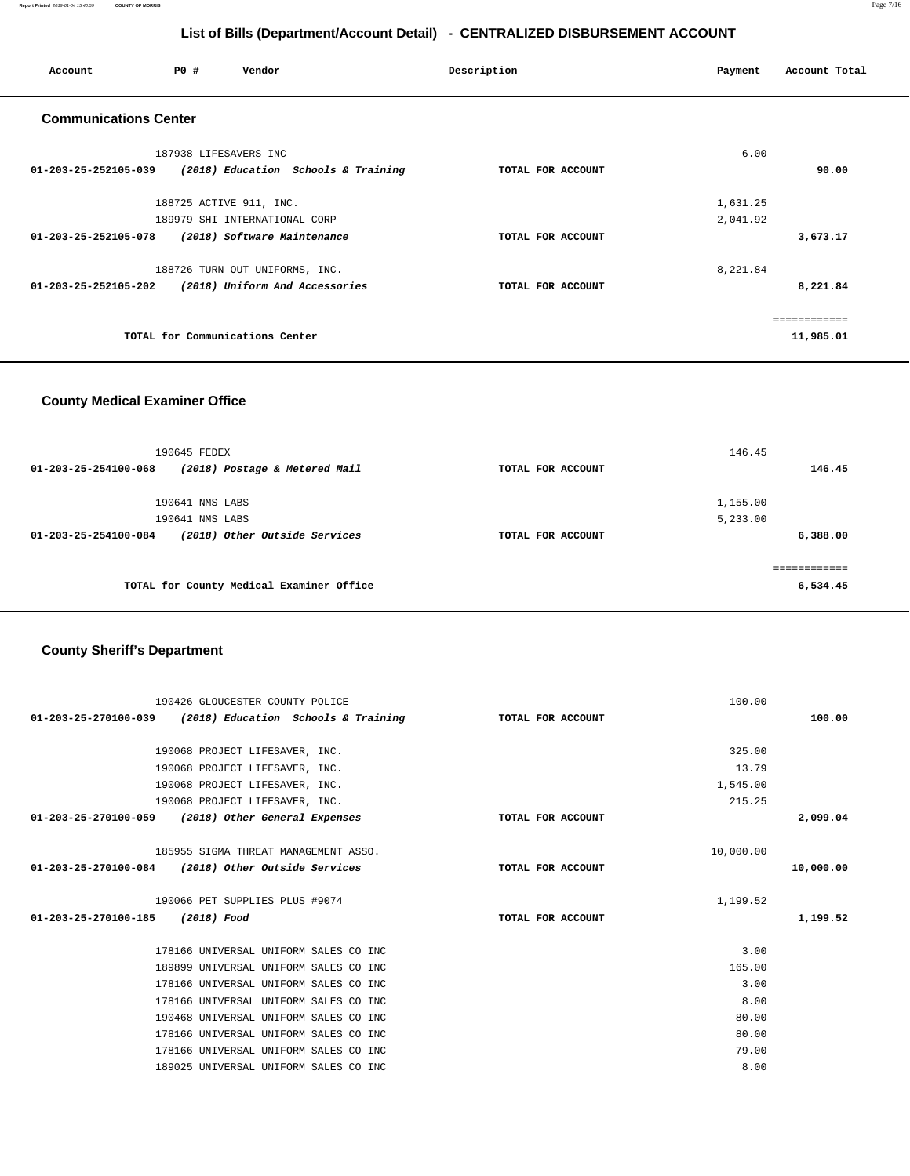**Report Printed** 2019-01-04 15:40:59 **COUNTY OF MORRIS** Page 7/16

## **List of Bills (Department/Account Detail) - CENTRALIZED DISBURSEMENT ACCOUNT**

| Account                        | <b>PO #</b>             | Vendor                              | Description       | Payment  | Account Total |
|--------------------------------|-------------------------|-------------------------------------|-------------------|----------|---------------|
| <b>Communications Center</b>   |                         |                                     |                   |          |               |
|                                | 187938 LIFESAVERS INC   |                                     |                   | 6.00     |               |
| 01-203-25-252105-039           |                         | (2018) Education Schools & Training | TOTAL FOR ACCOUNT |          | 90.00         |
|                                | 188725 ACTIVE 911, INC. |                                     |                   | 1,631.25 |               |
|                                |                         | 189979 SHI INTERNATIONAL CORP       |                   | 2,041.92 |               |
| 01-203-25-252105-078           |                         | (2018) Software Maintenance         | TOTAL FOR ACCOUNT |          | 3,673.17      |
|                                |                         | 188726 TURN OUT UNIFORMS, INC.      |                   | 8,221.84 |               |
| $01 - 203 - 25 - 252105 - 202$ |                         | (2018) Uniform And Accessories      | TOTAL FOR ACCOUNT |          | 8,221.84      |
|                                |                         |                                     |                   |          |               |
|                                |                         | TOTAL for Communications Center     |                   |          | 11,985.01     |

### **County Medical Examiner Office**

| 190645 FEDEX                   |                                          |                   | 146.45   |
|--------------------------------|------------------------------------------|-------------------|----------|
| $01 - 203 - 25 - 254100 - 068$ | (2018) Postage & Metered Mail            | TOTAL FOR ACCOUNT | 146.45   |
| 190641 NMS LABS                |                                          |                   | 1,155.00 |
| 190641 NMS LABS                |                                          |                   | 5,233.00 |
| 01-203-25-254100-084           | (2018) Other Outside Services            | TOTAL FOR ACCOUNT | 6,388.00 |
|                                |                                          |                   |          |
|                                | TOTAL for County Medical Examiner Office |                   | 6,534.45 |
|                                |                                          |                   |          |

# **County Sheriff's Department**

| 190426 GLOUCESTER COUNTY POLICE                                            |                   | 100.00    |           |
|----------------------------------------------------------------------------|-------------------|-----------|-----------|
| 01-203-25-270100-039 (2018) Education Schools & Training TOTAL FOR ACCOUNT |                   |           | 100.00    |
|                                                                            |                   |           |           |
| 190068 PROJECT LIFESAVER, INC.                                             |                   | 325.00    |           |
| 190068 PROJECT LIFESAVER, INC.                                             |                   | 13.79     |           |
| 190068 PROJECT LIFESAVER, INC.                                             |                   | 1,545.00  |           |
| 190068 PROJECT LIFESAVER, INC.                                             |                   | 215.25    |           |
| 01-203-25-270100-059 (2018) Other General Expenses                         | TOTAL FOR ACCOUNT |           | 2,099.04  |
|                                                                            |                   |           |           |
| 185955 SIGMA THREAT MANAGEMENT ASSO.                                       |                   | 10,000.00 |           |
| 01-203-25-270100-084 (2018) Other Outside Services                         | TOTAL FOR ACCOUNT |           | 10,000.00 |
|                                                                            |                   |           |           |
|                                                                            |                   |           |           |
| 190066 PET SUPPLIES PLUS #9074                                             |                   | 1,199.52  |           |
| 01-203-25-270100-185 (2018) Food                                           | TOTAL FOR ACCOUNT |           | 1,199.52  |
|                                                                            |                   |           |           |
| 178166 UNIVERSAL UNIFORM SALES CO INC                                      |                   | 3.00      |           |
| 189899 UNIVERSAL UNIFORM SALES CO INC                                      |                   | 165.00    |           |
| 178166 UNIVERSAL UNIFORM SALES CO INC                                      |                   | 3.00      |           |
| 178166 UNIVERSAL UNIFORM SALES CO INC                                      |                   | 8.00      |           |
| 190468 UNIVERSAL UNIFORM SALES CO INC                                      |                   | 80.00     |           |
| 178166 UNIVERSAL UNIFORM SALES CO INC                                      |                   | 80.00     |           |
| 178166 UNIVERSAL UNIFORM SALES CO INC                                      |                   | 79.00     |           |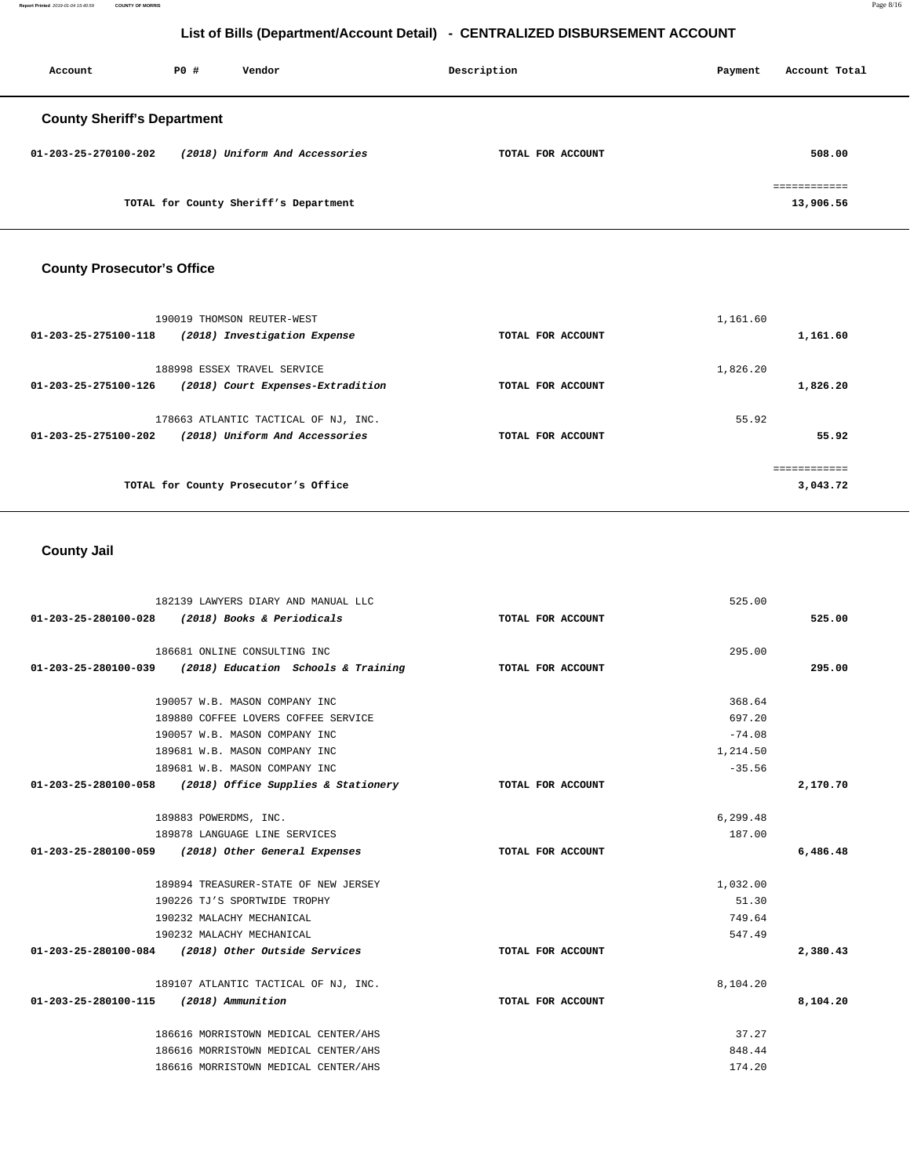**Report Printed** 2019-01-04 15:40:59 **COUNTY OF MORRIS** Page 8/16

# **List of Bills (Department/Account Detail) - CENTRALIZED DISBURSEMENT ACCOUNT**

| Account                            | PO# | Vendor                                | Description       | Payment | Account Total                  |
|------------------------------------|-----|---------------------------------------|-------------------|---------|--------------------------------|
| <b>County Sheriff's Department</b> |     |                                       |                   |         |                                |
| 01-203-25-270100-202               |     | (2018) Uniform And Accessories        | TOTAL FOR ACCOUNT |         | 508,00                         |
|                                    |     | TOTAL for County Sheriff's Department |                   |         | ------------<br>.<br>13,906.56 |

# **County Prosecutor's Office**

| 190019 THOMSON REUTER-WEST                                                                               |                   | 1,161.60             |
|----------------------------------------------------------------------------------------------------------|-------------------|----------------------|
| (2018) Investigation Expense<br>01-203-25-275100-118                                                     | TOTAL FOR ACCOUNT | 1,161.60             |
| 188998 ESSEX TRAVEL SERVICE<br>(2018) Court Expenses-Extradition<br>01-203-25-275100-126                 | TOTAL FOR ACCOUNT | 1,826.20<br>1,826.20 |
| 178663 ATLANTIC TACTICAL OF NJ, INC.<br>(2018) Uniform And Accessories<br>$01 - 203 - 25 - 275100 - 202$ | TOTAL FOR ACCOUNT | 55.92<br>55.92       |
| TOTAL for County Prosecutor's Office                                                                     |                   | 3,043.72             |

# **County Jail**

|                                        | 182139 LAWYERS DIARY AND MANUAL LLC                      |                   | 525.00   |          |
|----------------------------------------|----------------------------------------------------------|-------------------|----------|----------|
|                                        | 01-203-25-280100-028 (2018) Books & Periodicals          | TOTAL FOR ACCOUNT |          | 525.00   |
|                                        |                                                          |                   |          |          |
|                                        | 186681 ONLINE CONSULTING INC                             |                   | 295.00   |          |
|                                        | 01-203-25-280100-039 (2018) Education Schools & Training | TOTAL FOR ACCOUNT |          | 295.00   |
|                                        | 190057 W.B. MASON COMPANY INC                            |                   | 368.64   |          |
|                                        | 189880 COFFEE LOVERS COFFEE SERVICE                      |                   | 697.20   |          |
|                                        | 190057 W.B. MASON COMPANY INC                            |                   | $-74.08$ |          |
|                                        | 189681 W.B. MASON COMPANY INC                            |                   | 1,214.50 |          |
|                                        | 189681 W.B. MASON COMPANY INC                            |                   | $-35.56$ |          |
|                                        | 01-203-25-280100-058 (2018) Office Supplies & Stationery | TOTAL FOR ACCOUNT |          | 2,170.70 |
|                                        |                                                          |                   |          |          |
|                                        | 189883 POWERDMS, INC.                                    |                   | 6,299.48 |          |
|                                        | 189878 LANGUAGE LINE SERVICES                            |                   | 187.00   |          |
|                                        | 01-203-25-280100-059 (2018) Other General Expenses       | TOTAL FOR ACCOUNT |          | 6,486.48 |
|                                        |                                                          |                   |          |          |
|                                        | 189894 TREASURER-STATE OF NEW JERSEY                     |                   | 1,032.00 |          |
|                                        | 190226 TJ'S SPORTWIDE TROPHY                             |                   | 51.30    |          |
|                                        | 190232 MALACHY MECHANICAL                                |                   | 749.64   |          |
|                                        | 190232 MALACHY MECHANICAL                                |                   | 547.49   |          |
|                                        | 01-203-25-280100-084 (2018) Other Outside Services       | TOTAL FOR ACCOUNT |          | 2,380.43 |
|                                        | 189107 ATLANTIC TACTICAL OF NJ, INC.                     |                   | 8,104.20 |          |
| 01-203-25-280100-115 (2018) Ammunition |                                                          | TOTAL FOR ACCOUNT |          | 8,104.20 |
|                                        | 186616 MORRISTOWN MEDICAL CENTER/AHS                     |                   | 37.27    |          |
|                                        | 186616 MORRISTOWN MEDICAL CENTER/AHS                     |                   | 848.44   |          |
|                                        |                                                          |                   |          |          |
|                                        | 186616 MORRISTOWN MEDICAL CENTER/AHS                     |                   | 174.20   |          |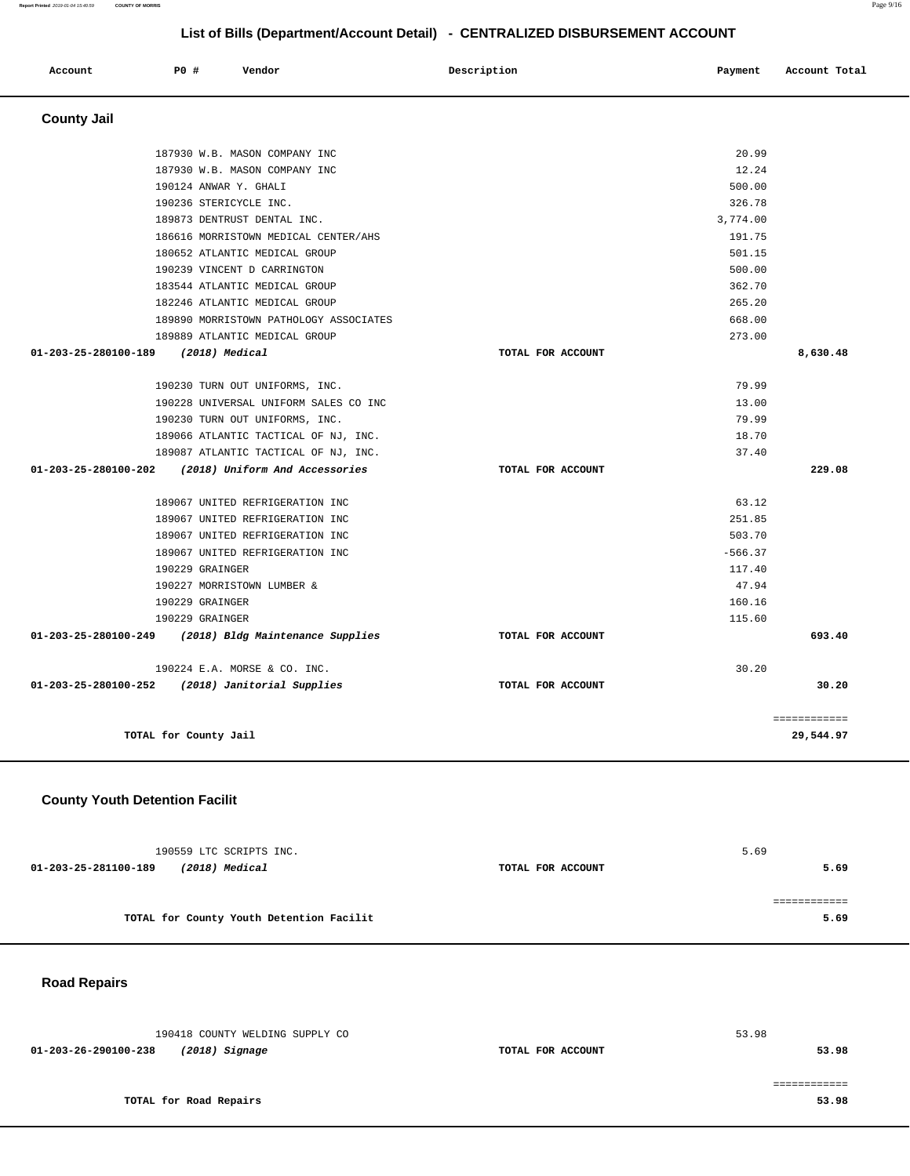# **List of Bills (Department/Account Detail) - CENTRALIZED DISBURSEMENT ACCOUNT**

| Account              | <b>PO #</b><br>Vendor                           | Description       | Payment   | Account Total |
|----------------------|-------------------------------------------------|-------------------|-----------|---------------|
| <b>County Jail</b>   |                                                 |                   |           |               |
|                      | 187930 W.B. MASON COMPANY INC                   |                   | 20.99     |               |
|                      | 187930 W.B. MASON COMPANY INC                   |                   | 12.24     |               |
|                      | 190124 ANWAR Y. GHALI                           |                   | 500.00    |               |
|                      | 190236 STERICYCLE INC.                          |                   | 326.78    |               |
|                      | 189873 DENTRUST DENTAL INC.                     |                   | 3,774.00  |               |
|                      | 186616 MORRISTOWN MEDICAL CENTER/AHS            |                   | 191.75    |               |
|                      | 180652 ATLANTIC MEDICAL GROUP                   |                   | 501.15    |               |
|                      | 190239 VINCENT D CARRINGTON                     |                   | 500.00    |               |
|                      | 183544 ATLANTIC MEDICAL GROUP                   |                   | 362.70    |               |
|                      | 182246 ATLANTIC MEDICAL GROUP                   |                   | 265.20    |               |
|                      | 189890 MORRISTOWN PATHOLOGY ASSOCIATES          |                   | 668.00    |               |
|                      | 189889 ATLANTIC MEDICAL GROUP                   |                   | 273.00    |               |
| 01-203-25-280100-189 | (2018) Medical                                  | TOTAL FOR ACCOUNT |           | 8,630.48      |
|                      | 190230 TURN OUT UNIFORMS, INC.                  |                   | 79.99     |               |
|                      | 190228 UNIVERSAL UNIFORM SALES CO INC           |                   | 13.00     |               |
|                      | 190230 TURN OUT UNIFORMS, INC.                  |                   | 79.99     |               |
|                      | 189066 ATLANTIC TACTICAL OF NJ, INC.            |                   | 18.70     |               |
|                      | 189087 ATLANTIC TACTICAL OF NJ, INC.            |                   | 37.40     |               |
| 01-203-25-280100-202 | (2018) Uniform And Accessories                  | TOTAL FOR ACCOUNT |           | 229.08        |
|                      | 189067 UNITED REFRIGERATION INC                 |                   | 63.12     |               |
|                      | 189067 UNITED REFRIGERATION INC                 |                   | 251.85    |               |
|                      | 189067 UNITED REFRIGERATION INC                 |                   | 503.70    |               |
|                      | 189067 UNITED REFRIGERATION INC                 |                   | $-566.37$ |               |
|                      | 190229 GRAINGER                                 |                   | 117.40    |               |
|                      | 190227 MORRISTOWN LUMBER &                      |                   | 47.94     |               |
|                      | 190229 GRAINGER                                 |                   | 160.16    |               |
|                      | 190229 GRAINGER                                 |                   | 115.60    |               |
| 01-203-25-280100-249 | (2018) Bldg Maintenance Supplies                | TOTAL FOR ACCOUNT |           | 693.40        |
|                      | 190224 E.A. MORSE & CO. INC.                    |                   | 30.20     |               |
|                      | 01-203-25-280100-252 (2018) Janitorial Supplies | TOTAL FOR ACCOUNT |           | 30.20         |
|                      |                                                 |                   |           | ============  |
|                      | TOTAL for County Jail                           |                   |           | 29,544.97     |

## **County Youth Detention Facilit**

|                      | 190559 LTC SCRIPTS INC.                  |                   | 5.69 |
|----------------------|------------------------------------------|-------------------|------|
| 01-203-25-281100-189 | (2018) Medical                           | TOTAL FOR ACCOUNT | 5.69 |
|                      |                                          |                   |      |
|                      |                                          |                   |      |
|                      | TOTAL for County Youth Detention Facilit |                   | 5.69 |

# **Road Repairs**

| 190418 COUNTY WELDING SUPPLY CO        |                   | 53.98 |
|----------------------------------------|-------------------|-------|
| 01-203-26-290100-238<br>(2018) Signage | TOTAL FOR ACCOUNT | 53.98 |
|                                        |                   |       |
|                                        |                   |       |
| TOTAL for Road Repairs                 |                   | 53.98 |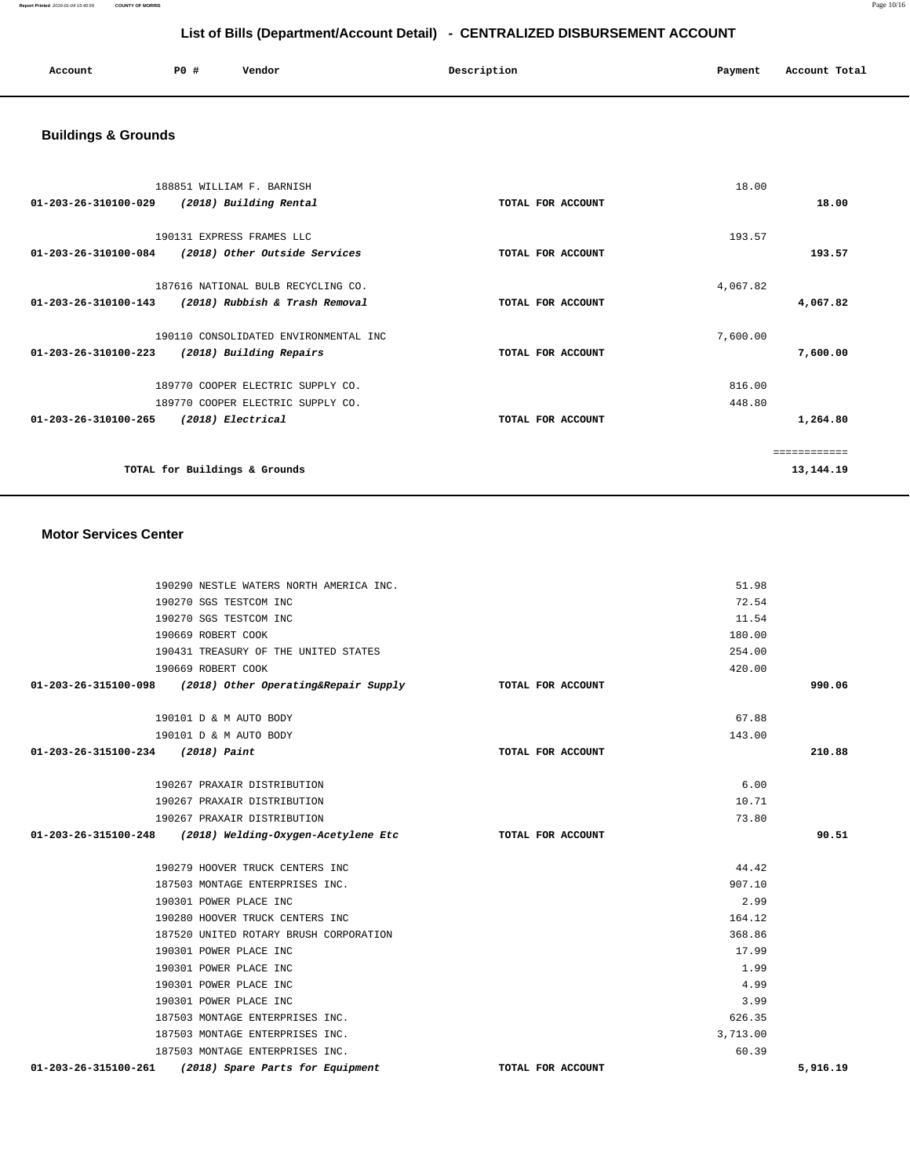**Report Printed** 2019-01-04 15:40:59 **COUNTY OF MORRIS** Page 10/16

# **List of Bills (Department/Account Detail) - CENTRALIZED DISBURSEMENT ACCOUNT**

| Account | <b>PO #</b> | Vendor | Description | Payment | Account Total |
|---------|-------------|--------|-------------|---------|---------------|
|         |             |        |             |         |               |

# **Buildings & Grounds**

| 188851 WILLIAM F. BARNISH                                        |                   | 18.00    |           |
|------------------------------------------------------------------|-------------------|----------|-----------|
| $01 - 203 - 26 - 310100 - 029$<br>(2018) Building Rental         | TOTAL FOR ACCOUNT |          | 18.00     |
|                                                                  |                   |          |           |
| 190131 EXPRESS FRAMES LLC                                        |                   | 193.57   |           |
| 01-203-26-310100-084<br>(2018) Other Outside Services            | TOTAL FOR ACCOUNT |          | 193.57    |
| 187616 NATIONAL BULB RECYCLING CO.                               |                   | 4,067.82 |           |
| (2018) Rubbish & Trash Removal<br>$01 - 203 - 26 - 310100 - 143$ | TOTAL FOR ACCOUNT |          | 4,067.82  |
| 190110 CONSOLIDATED ENVIRONMENTAL INC                            |                   | 7,600.00 |           |
| 01-203-26-310100-223<br>(2018) Building Repairs                  | TOTAL FOR ACCOUNT |          | 7,600.00  |
| 189770 COOPER ELECTRIC SUPPLY CO.                                |                   | 816.00   |           |
| 189770 COOPER ELECTRIC SUPPLY CO.                                |                   | 448.80   |           |
| $01 - 203 - 26 - 310100 - 265$<br>(2018) Electrical              | TOTAL FOR ACCOUNT |          | 1,264.80  |
|                                                                  |                   |          |           |
| TOTAL for Buildings & Grounds                                    |                   |          | 13,144.19 |

#### **Motor Services Center**

| 190290 NESTLE WATERS NORTH AMERICA INC.                            |                   | 51.98    |        |
|--------------------------------------------------------------------|-------------------|----------|--------|
| 190270 SGS TESTCOM INC                                             |                   | 72.54    |        |
| 190270 SGS TESTCOM INC                                             |                   | 11.54    |        |
| 190669 ROBERT COOK                                                 |                   | 180.00   |        |
| 190431 TREASURY OF THE UNITED STATES                               |                   | 254.00   |        |
| 190669 ROBERT COOK                                                 |                   | 420.00   |        |
| $01-203-26-315100-098$ (2018) Other Operating&Repair Supply        | TOTAL FOR ACCOUNT |          | 990.06 |
| 190101 D & M AUTO BODY                                             |                   | 67.88    |        |
| 190101 D & M AUTO BODY                                             |                   | 143.00   |        |
| 01-203-26-315100-234 (2018) Paint                                  | TOTAL FOR ACCOUNT |          | 210.88 |
| 190267 PRAXAIR DISTRIBUTION                                        |                   | 6.00     |        |
| 190267 PRAXAIR DISTRIBUTION                                        |                   | 10.71    |        |
| 190267 PRAXAIR DISTRIBUTION                                        |                   | 73.80    |        |
| $01 - 203 - 26 - 315100 - 248$ (2018) Welding-Oxygen-Acetylene Etc | TOTAL FOR ACCOUNT |          | 90.51  |
| 190279 HOOVER TRUCK CENTERS INC                                    |                   | 44.42    |        |
|                                                                    |                   |          |        |
| 187503 MONTAGE ENTERPRISES INC.                                    |                   | 907.10   |        |
| 190301 POWER PLACE INC                                             |                   | 2.99     |        |
| 190280 HOOVER TRUCK CENTERS INC                                    |                   | 164.12   |        |
| 187520 UNITED ROTARY BRUSH CORPORATION                             |                   | 368.86   |        |
| 190301 POWER PLACE INC                                             |                   | 17.99    |        |
| 190301 POWER PLACE INC                                             |                   | 1.99     |        |
| 190301 POWER PLACE INC                                             |                   | 4.99     |        |
| 190301 POWER PLACE INC                                             |                   | 3.99     |        |
| 187503 MONTAGE ENTERPRISES INC.                                    |                   | 626.35   |        |
| 187503 MONTAGE ENTERPRISES INC.                                    |                   | 3,713.00 |        |
| 187503 MONTAGE ENTERPRISES INC.                                    |                   | 60.39    |        |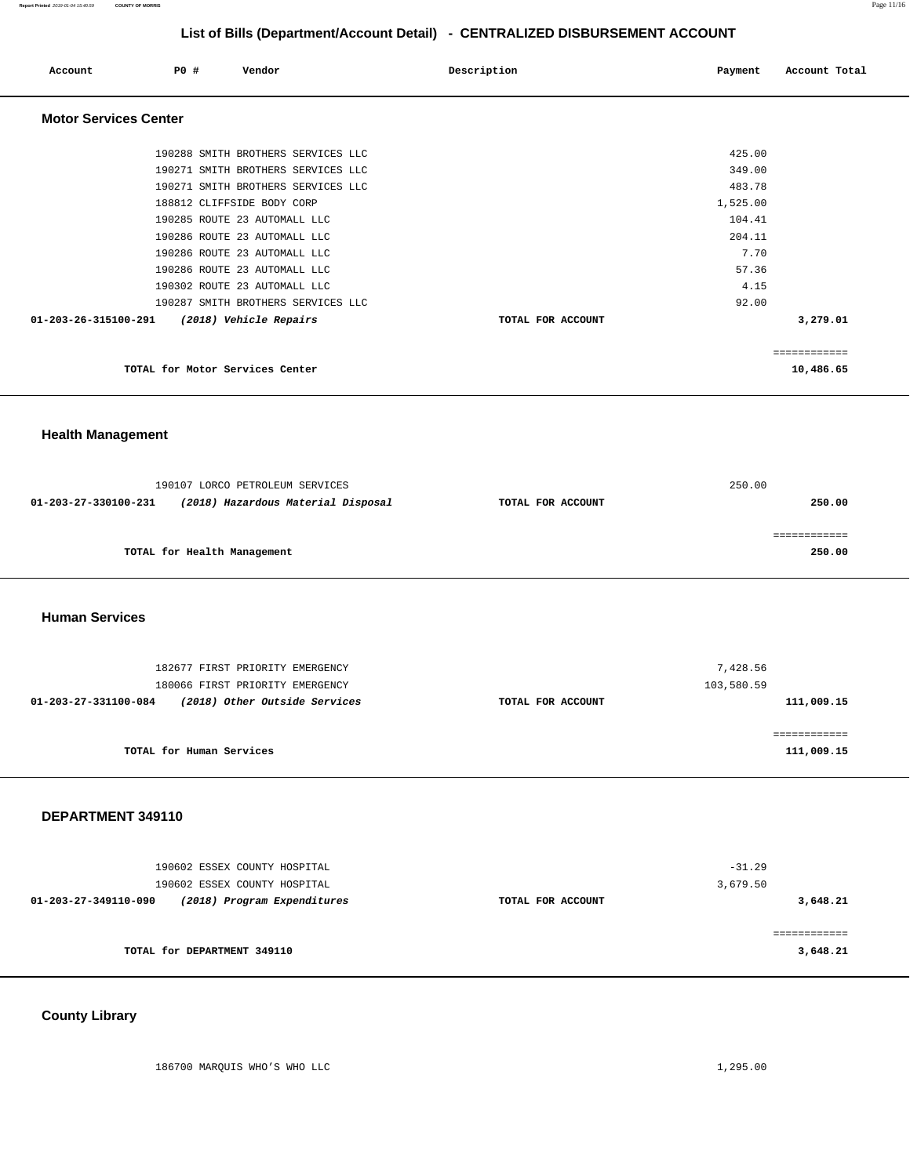**Report Printed** 2019-01-04 15:40:59 **COUNTY OF MORRIS** Page 11/16

# **List of Bills (Department/Account Detail) - CENTRALIZED DISBURSEMENT ACCOUNT**

| Account                      | PO# | Vendor                             | Description       | Payment  | Account Total |
|------------------------------|-----|------------------------------------|-------------------|----------|---------------|
| <b>Motor Services Center</b> |     |                                    |                   |          |               |
|                              |     | 190288 SMITH BROTHERS SERVICES LLC |                   | 425.00   |               |
|                              |     | 190271 SMITH BROTHERS SERVICES LLC |                   | 349.00   |               |
|                              |     | 190271 SMITH BROTHERS SERVICES LLC |                   | 483.78   |               |
|                              |     | 188812 CLIFFSIDE BODY CORP         |                   | 1,525.00 |               |
|                              |     | 190285 ROUTE 23 AUTOMALL LLC       |                   | 104.41   |               |
|                              |     | 190286 ROUTE 23 AUTOMALL LLC       |                   | 204.11   |               |
|                              |     | 190286 ROUTE 23 AUTOMALL LLC       |                   | 7.70     |               |
|                              |     | 190286 ROUTE 23 AUTOMALL LLC       |                   | 57.36    |               |
|                              |     | 190302 ROUTE 23 AUTOMALL LLC       |                   | 4.15     |               |
|                              |     | 190287 SMITH BROTHERS SERVICES LLC |                   | 92.00    |               |
| 01-203-26-315100-291         |     | (2018) Vehicle Repairs             | TOTAL FOR ACCOUNT |          | 3,279.01      |
|                              |     |                                    |                   |          | ============  |
|                              |     | TOTAL for Motor Services Center    |                   |          | 10,486.65     |

### **Health Management**

|                      | 190107 LORCO PETROLEUM SERVICES    |                   | 250.00 |
|----------------------|------------------------------------|-------------------|--------|
| 01-203-27-330100-231 | (2018) Hazardous Material Disposal | TOTAL FOR ACCOUNT | 250.00 |
|                      |                                    |                   |        |
|                      |                                    |                   |        |
|                      | TOTAL for Health Management        |                   | 250.00 |

#### **Human Services**

| 182677 FIRST PRIORITY EMERGENCY<br>180066 FIRST PRIORITY EMERGENCY |                   | 7,428.56<br>103,580.59 |
|--------------------------------------------------------------------|-------------------|------------------------|
| (2018) Other Outside Services<br>01-203-27-331100-084              | TOTAL FOR ACCOUNT | 111,009.15             |
|                                                                    |                   |                        |
|                                                                    |                   |                        |
| TOTAL for Human Services                                           |                   | 111,009.15             |

#### **DEPARTMENT 349110**

| 190602 ESSEX COUNTY HOSPITAL<br>190602 ESSEX COUNTY HOSPITAL |                   | $-31.29$<br>3,679.50 |
|--------------------------------------------------------------|-------------------|----------------------|
| (2018) Program Expenditures<br>01-203-27-349110-090          | TOTAL FOR ACCOUNT | 3,648.21             |
| TOTAL for DEPARTMENT 349110                                  |                   | 3,648.21             |

# **County Library**

186700 MARQUIS WHO'S WHO LLC 1,295.00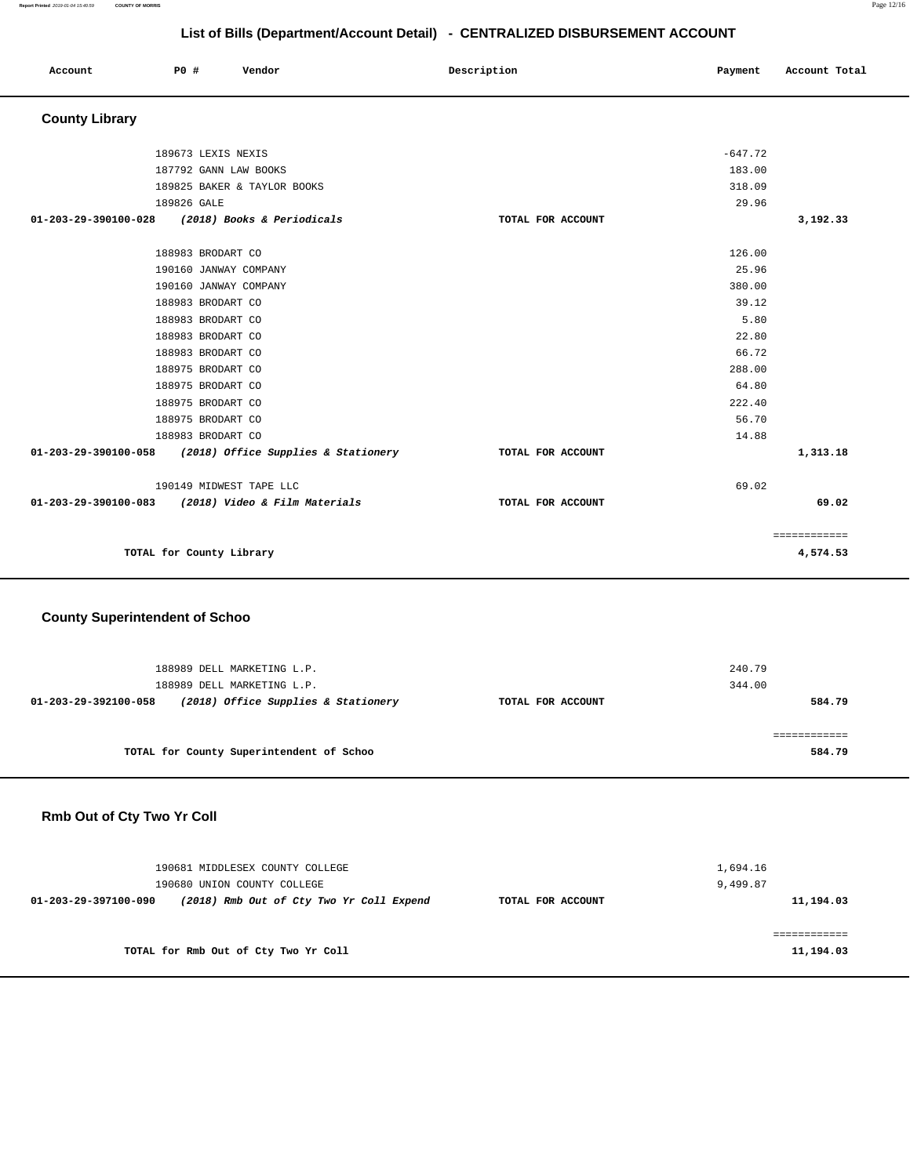**Report Printed** 2019-01-04 15:40:59 **COUNTY OF MORRIS** Page 12/16

# **List of Bills (Department/Account Detail) - CENTRALIZED DISBURSEMENT ACCOUNT**

| Account               | PO#                      | Vendor                              | Description | Payment           | Account Total |
|-----------------------|--------------------------|-------------------------------------|-------------|-------------------|---------------|
| <b>County Library</b> |                          |                                     |             |                   |               |
|                       | 189673 LEXIS NEXIS       |                                     |             | $-647.72$         |               |
|                       |                          | 187792 GANN LAW BOOKS               |             | 183.00            |               |
|                       |                          | 189825 BAKER & TAYLOR BOOKS         |             | 318.09            |               |
|                       | 189826 GALE              |                                     |             | 29.96             |               |
| 01-203-29-390100-028  |                          | (2018) Books & Periodicals          |             | TOTAL FOR ACCOUNT | 3,192.33      |
|                       | 188983 BRODART CO        |                                     |             | 126.00            |               |
|                       |                          | 190160 JANWAY COMPANY               |             | 25.96             |               |
|                       |                          | 190160 JANWAY COMPANY               |             | 380.00            |               |
|                       | 188983 BRODART CO        |                                     |             | 39.12             |               |
|                       | 188983 BRODART CO        |                                     |             | 5.80              |               |
|                       | 188983 BRODART CO        |                                     |             | 22.80             |               |
|                       | 188983 BRODART CO        |                                     |             | 66.72             |               |
|                       | 188975 BRODART CO        |                                     |             | 288.00            |               |
|                       | 188975 BRODART CO        |                                     |             | 64.80             |               |
|                       | 188975 BRODART CO        |                                     |             | 222.40            |               |
|                       | 188975 BRODART CO        |                                     |             | 56.70             |               |
|                       | 188983 BRODART CO        |                                     |             | 14.88             |               |
| 01-203-29-390100-058  |                          | (2018) Office Supplies & Stationery |             | TOTAL FOR ACCOUNT | 1,313.18      |
|                       |                          | 190149 MIDWEST TAPE LLC             |             | 69.02             |               |
| 01-203-29-390100-083  |                          | (2018) Video & Film Materials       |             | TOTAL FOR ACCOUNT | 69.02         |
|                       |                          |                                     |             |                   | ============  |
|                       | TOTAL for County Library |                                     |             |                   | 4,574.53      |

### **County Superintendent of Schoo**

| 188989 DELL MARKETING L.P.<br>188989 DELL MARKETING L.P.    |                   | 240.79<br>344.00 |
|-------------------------------------------------------------|-------------------|------------------|
| (2018) Office Supplies & Stationery<br>01-203-29-392100-058 | TOTAL FOR ACCOUNT | 584.79           |
|                                                             |                   |                  |
| TOTAL for County Superintendent of Schoo                    |                   | 584.79           |

# **Rmb Out of Cty Two Yr Coll**

| 190681 MIDDLESEX COUNTY COLLEGE<br>190680 UNION COUNTY COLLEGE   |                   | 1,694.16<br>9,499.87 |
|------------------------------------------------------------------|-------------------|----------------------|
| (2018) Rmb Out of Cty Two Yr Coll Expend<br>01-203-29-397100-090 | TOTAL FOR ACCOUNT | 11,194.03            |
| TOTAL for Rmb Out of Cty Two Yr Coll                             |                   | 11,194.03            |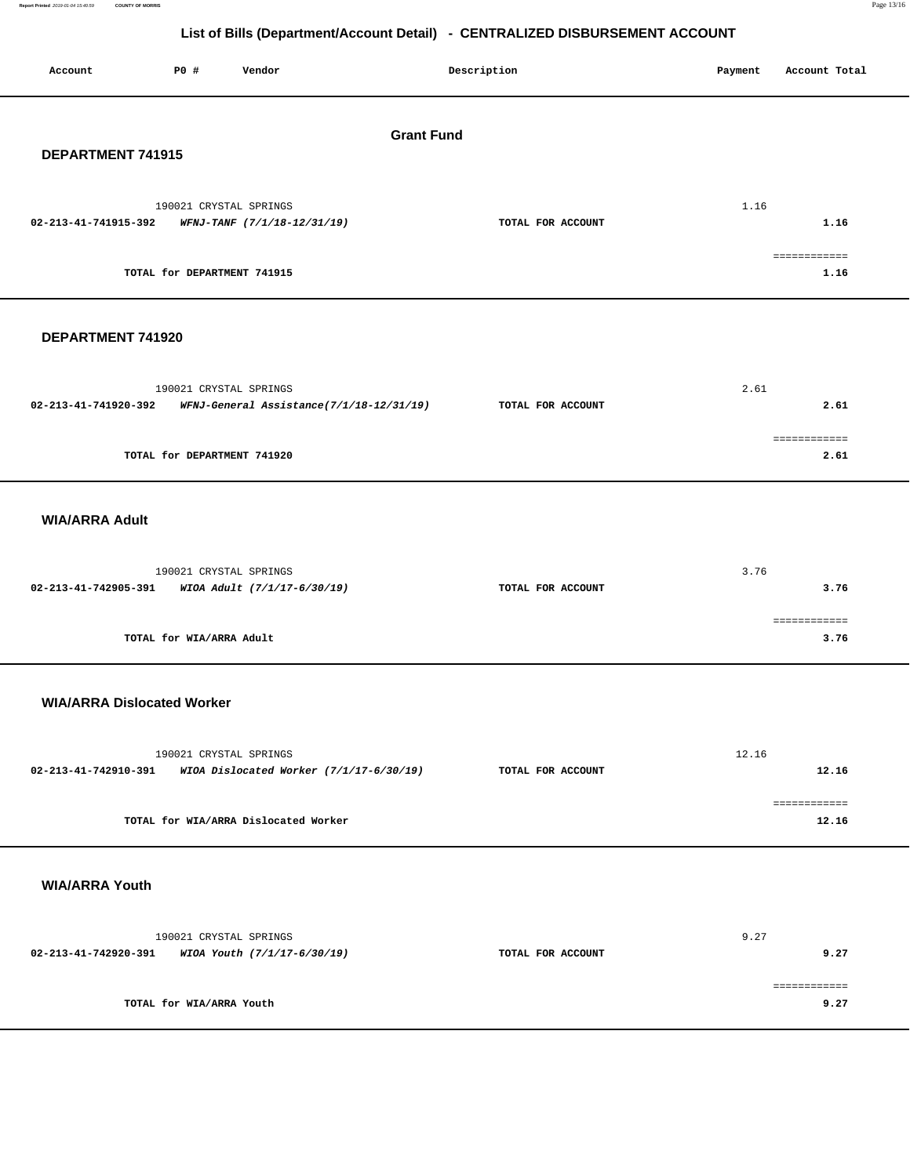**Report Printed** 2019-01-04 15:40:59 **COUNTY OF MORRIS** Page 13/16

# **List of Bills (Department/Account Detail) - CENTRALIZED DISBURSEMENT ACCOUNT**

| P0 #<br>Account<br>Vendor                                                                  | Description       | Payment | Account Total         |  |  |  |
|--------------------------------------------------------------------------------------------|-------------------|---------|-----------------------|--|--|--|
| <b>Grant Fund</b><br>DEPARTMENT 741915                                                     |                   |         |                       |  |  |  |
| 190021 CRYSTAL SPRINGS<br>02-213-41-741915-392<br>WFNJ-TANF (7/1/18-12/31/19)              | TOTAL FOR ACCOUNT | 1.16    | 1.16                  |  |  |  |
| TOTAL for DEPARTMENT 741915                                                                |                   |         | ============<br>1.16  |  |  |  |
| DEPARTMENT 741920                                                                          |                   |         |                       |  |  |  |
| 190021 CRYSTAL SPRINGS<br>02-213-41-741920-392<br>WFNJ-General Assistance(7/1/18-12/31/19) | TOTAL FOR ACCOUNT | 2.61    | 2.61                  |  |  |  |
| TOTAL for DEPARTMENT 741920                                                                |                   |         | ============<br>2.61  |  |  |  |
| <b>WIA/ARRA Adult</b>                                                                      |                   |         |                       |  |  |  |
| 190021 CRYSTAL SPRINGS<br>02-213-41-742905-391<br>WIOA Adult (7/1/17-6/30/19)              | TOTAL FOR ACCOUNT | 3.76    | 3.76                  |  |  |  |
| TOTAL for WIA/ARRA Adult                                                                   |                   |         | ============<br>3.76  |  |  |  |
| <b>WIA/ARRA Dislocated Worker</b>                                                          |                   |         |                       |  |  |  |
| 190021 CRYSTAL SPRINGS<br>02-213-41-742910-391 WIOA Dislocated Worker (7/1/17-6/30/19)     | TOTAL FOR ACCOUNT | 12.16   | 12.16<br>============ |  |  |  |
| TOTAL for WIA/ARRA Dislocated Worker                                                       |                   |         | 12.16                 |  |  |  |
| <b>WIA/ARRA Youth</b>                                                                      |                   |         |                       |  |  |  |
| 190021 CRYSTAL SPRINGS<br>02-213-41-742920-391<br>WIOA Youth (7/1/17-6/30/19)              | TOTAL FOR ACCOUNT | 9.27    | 9.27                  |  |  |  |
| TOTAL for WIA/ARRA Youth                                                                   |                   |         | ============<br>9.27  |  |  |  |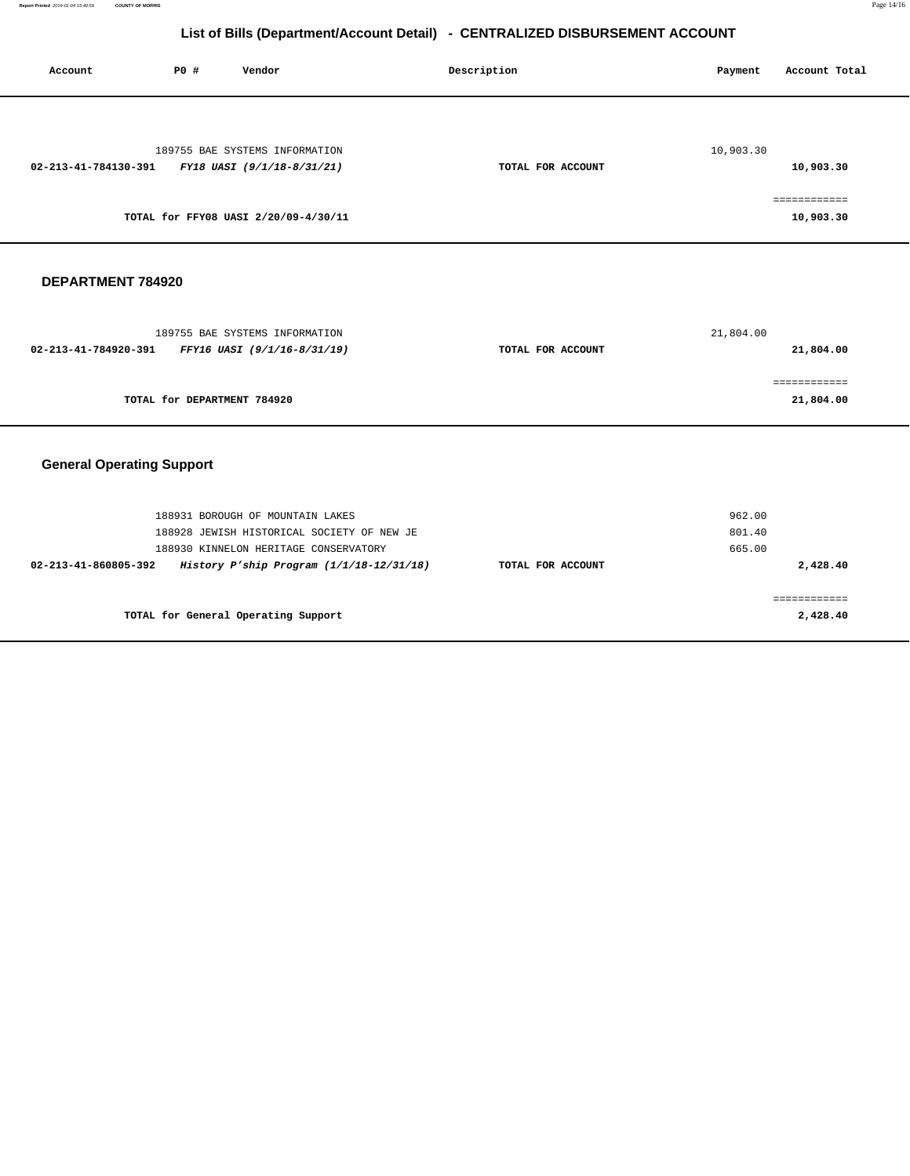# **List of Bills (Department/Account Detail) - CENTRALIZED DISBURSEMENT ACCOUNT**

| Account                          | PO#                         | Vendor                                                                            | Description       | Payment          | Account Total             |
|----------------------------------|-----------------------------|-----------------------------------------------------------------------------------|-------------------|------------------|---------------------------|
| 02-213-41-784130-391             |                             | 189755 BAE SYSTEMS INFORMATION<br>FY18 UASI (9/1/18-8/31/21)                      | TOTAL FOR ACCOUNT | 10,903.30        | 10,903.30                 |
|                                  |                             | TOTAL for FFY08 UASI 2/20/09-4/30/11                                              |                   |                  | 10,903.30                 |
| DEPARTMENT 784920                |                             |                                                                                   |                   |                  |                           |
| 02-213-41-784920-391             |                             | 189755 BAE SYSTEMS INFORMATION<br>FFY16 UASI (9/1/16-8/31/19)                     | TOTAL FOR ACCOUNT | 21,804.00        | 21,804.00                 |
|                                  | TOTAL for DEPARTMENT 784920 |                                                                                   |                   |                  | ============<br>21,804.00 |
| <b>General Operating Support</b> |                             |                                                                                   |                   |                  |                           |
|                                  |                             | 188931 BOROUGH OF MOUNTAIN LAKES<br>188928 JEWISH HISTORICAL SOCIETY OF NEW JE    |                   | 962.00<br>801.40 |                           |
| 02-213-41-860805-392             |                             | 188930 KINNELON HERITAGE CONSERVATORY<br>History P'ship Program (1/1/18-12/31/18) | TOTAL FOR ACCOUNT | 665.00           | 2,428.40                  |
|                                  |                             | TOTAL for General Operating Support                                               |                   |                  | ============<br>2,428.40  |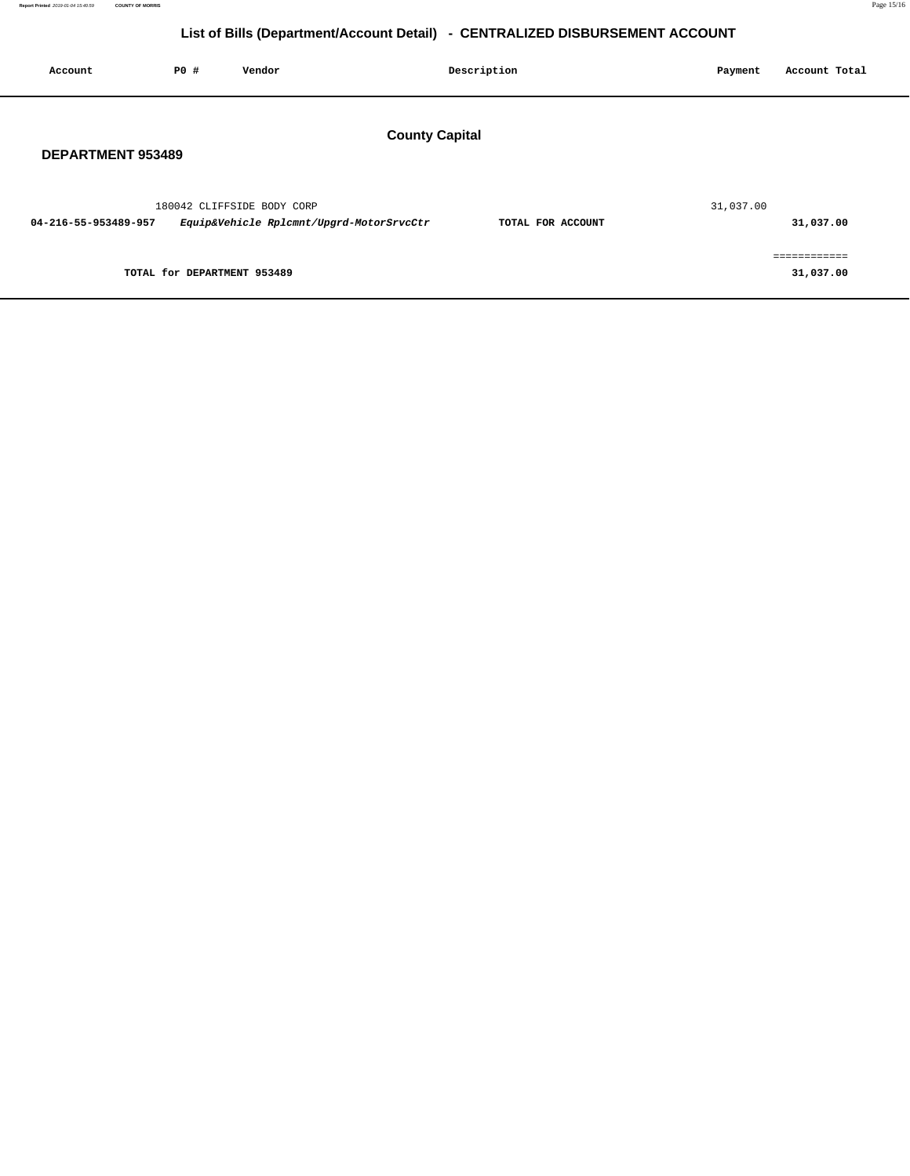# **List of Bills (Department/Account Detail) - CENTRALIZED DISBURSEMENT ACCOUNT**

| Account                  | P0 # | Vendor                                                                 |                       | Description       | Payment   | Account Total             |  |
|--------------------------|------|------------------------------------------------------------------------|-----------------------|-------------------|-----------|---------------------------|--|
| <b>DEPARTMENT 953489</b> |      |                                                                        | <b>County Capital</b> |                   |           |                           |  |
| 04-216-55-953489-957     |      | 180042 CLIFFSIDE BODY CORP<br>Equip&Vehicle Rplcmnt/Upgrd-MotorSrvcCtr |                       | TOTAL FOR ACCOUNT | 31,037.00 | 31,037.00                 |  |
|                          |      | TOTAL for DEPARTMENT 953489                                            |                       |                   |           | ============<br>31,037.00 |  |